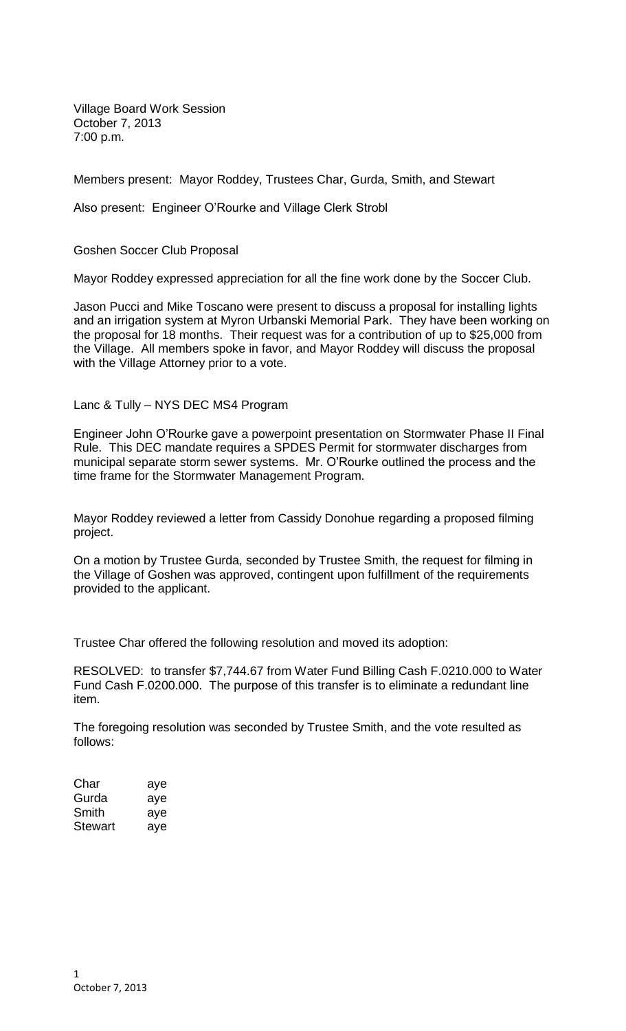Village Board Work Session October 7, 2013 7:00 p.m.

Members present: Mayor Roddey, Trustees Char, Gurda, Smith, and Stewart

Also present: Engineer O'Rourke and Village Clerk Strobl

Goshen Soccer Club Proposal

Mayor Roddey expressed appreciation for all the fine work done by the Soccer Club.

Jason Pucci and Mike Toscano were present to discuss a proposal for installing lights and an irrigation system at Myron Urbanski Memorial Park. They have been working on the proposal for 18 months. Their request was for a contribution of up to \$25,000 from the Village. All members spoke in favor, and Mayor Roddey will discuss the proposal with the Village Attorney prior to a vote.

Lanc & Tully – NYS DEC MS4 Program

Engineer John O'Rourke gave a powerpoint presentation on Stormwater Phase II Final Rule. This DEC mandate requires a SPDES Permit for stormwater discharges from municipal separate storm sewer systems. Mr. O'Rourke outlined the process and the time frame for the Stormwater Management Program.

Mayor Roddey reviewed a letter from Cassidy Donohue regarding a proposed filming project.

On a motion by Trustee Gurda, seconded by Trustee Smith, the request for filming in the Village of Goshen was approved, contingent upon fulfillment of the requirements provided to the applicant.

Trustee Char offered the following resolution and moved its adoption:

RESOLVED: to transfer \$7,744.67 from Water Fund Billing Cash F.0210.000 to Water Fund Cash F.0200.000. The purpose of this transfer is to eliminate a redundant line item.

The foregoing resolution was seconded by Trustee Smith, and the vote resulted as follows:

| Char    | aye |
|---------|-----|
| Gurda   | aye |
| Smith   | aye |
| Stewart | aye |